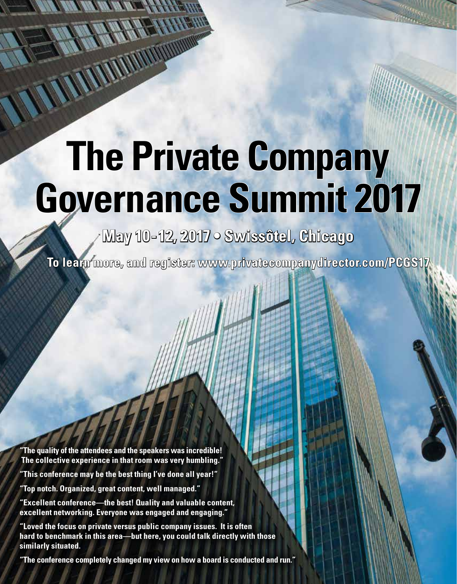# **The Private Company Governance Summit 2017**

**May 10-12, 2017 • Swissôtel, Chicago** 

**To learn more, and register: www.privatecompanydirector.com/PCGS17**

**"The quality of the attendees and the speakers was incredible! The collective experience in that room was very humbling."**

**"This conference may be the best thing I've done all year!"**

**"Top notch. Organized, great content, well managed."**

<u> - North Marian an India - Part S</u>

WWW

**"Excellent conference—the best! Quality and valuable content, excellent networking. Everyone was engaged and engaging."**

**"Loved the focus on private versus public company issues. It is often hard to benchmark in this area—but here, you could talk directly with those similarly situated.**

**"The conference completely changed my view on how a board is conducted and run."**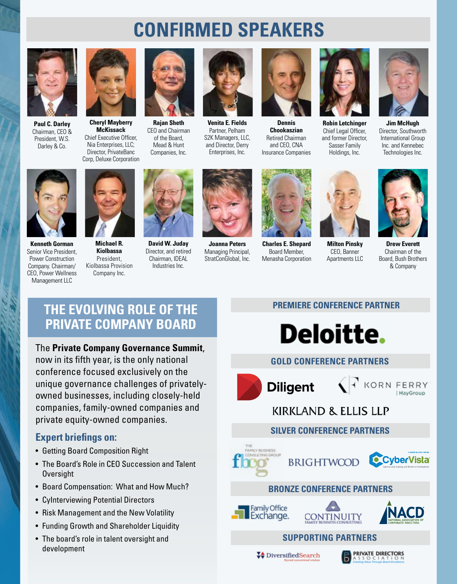# **CONFIRMED SPEAKERS**



**Paul C. Darley** Chairman, CEO & President, W.S. Darley & Co.



**Cheryl Mayberry McKissack** Chief Executive Officer, Nia Enterprises, LLC; Director, PrivateBanc Corp, Deluxe Corporation



**Rajan Sheth** CEO and Chairman of the Board, Mead & Hunt Companies, Inc.



**Venita E. Fields** Partner, Pelham S2K Managers, LLC, and Director, Derry Enterprises, Inc.



**Dennis Chookaszian** Retired Chairman and CEO, CNA Insurance Companies



**Robin Letchinger** Chief Legal Officer, and former Director, Sasser Family Holdings, Inc.



**Jim McHugh** Director, Southworth International Group Inc. and Kennebec Technologies Inc.



**Kenneth Gorman** Senior Vice President, Power Construction Company. Chairman/ CEO, Power Wellness Management LLC



**Kiolbassa** President, Kiolbassa Provision Company Inc.



**David W. Juday** Director, and retired Chairman, IDEAL Industries Inc.



**Joanna Peters** Managing Principal, StratConGlobal, Inc.



**Charles E. Shepard** Board Member, Menasha Corporation







**Drew Everett** Chairman of the Board, Bush Brothers & Company

# **THE EVOLVING ROLE OF THE PRIVATE COMPANY BOARD**

#### The **Private Company Governance Summit**,

now in its fifth year, is the only national conference focused exclusively on the unique governance challenges of privatelyowned businesses, including closely-held companies, family-owned companies and private equity-owned companies.

### **Expert briefings on:**

- Getting Board Composition Right
- The Board's Role in CEO Succession and Talent **Oversight**
- Board Compensation: What and How Much?
- CyInterviewing Potential Directors
- Risk Management and the New Volatility
- Funding Growth and Shareholder Liquidity
- The board's role in talent oversight and development

#### **PREMIERE CONFERENCE PARTNER**



#### **GOLD CONFERENCE PARTNERS**



 $\left\langle \left| \cdot \right| \right\rangle$  korn ferry HayGroup

# **KIRKLAND & ELLIS LLP**

#### **SILVER CONFERENCE PARTNERS**





#### **BRONZE CONFERENCE PARTNERS**







### **SUPPORTING PARTNERS**

**↓**DiversifiedSearch

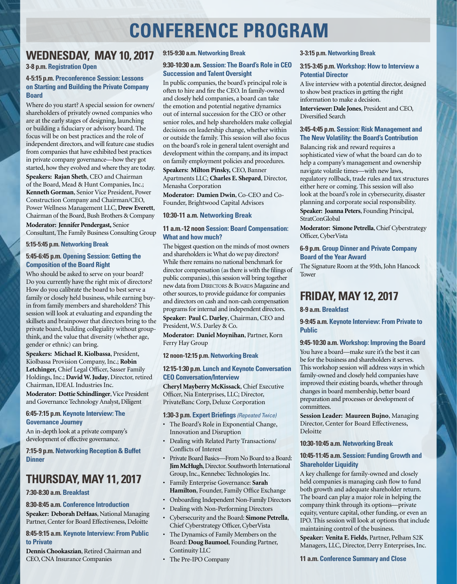# **CONFERENCE PROGRAM**

#### **WEDNESDAY, MAY 10, 2017**

**3-8 p.m. Registration Open**

#### **4-5:15 p.m. Preconference Session: Lessons on Starting and Building the Private Company Board**

Where do you start? A special session for owners/ shareholders of privately owned companies who are at the early stages of designing, launching or building a fiduciary or advisory board. The focus will be on best practices and the role of independent directors, and will feature case studies from companies that have exhibited best practices in private company governance—how they got started, how they evolved and where they are today.

**Speakers: Rajan Sheth**, CEO and Chairman of the Board, Mead & Hunt Companies, Inc.; **Kenneth Gorman**, Senior Vice President, Power Construction Company and Chairman/CEO, Power Wellness Management LLC, **Drew Everett**, Chairman of the Board, Bush Brothers & Company

**Moderator: Jennifer Pendergast,** Senior Consultant, The Family Business Consulting Group

**5:15-5:45 p.m. Networking Break**

#### **5:45-6:45 p.m. Opening Session: Getting the Composition of the Board Right**

Who should be asked to serve on your board? Do you currently have the right mix of directors? How do you calibrate the board to best serve a family or closely held business, while earning buyin from family members and shareholders? This session will look at evaluating and expanding the skillsets and brainpower that directors bring to the private board, building collegiality without groupthink, and the value that diversity (whether age, gender or ethnic) can bring.

**Speakers: Michael R. Kiolbassa**, President, Kiolbassa Provision Company, Inc.; **Robin Letchinger,** Chief Legal Officer, Sasser Family Holdings, Inc.; **David W. Juday**, Director, retired Chairman, IDEAL Industries Inc.

**Moderator: Dottie Schindlinger**, Vice President and Governance Technology Analyst, Diligent

#### **6:45-7:15 p.m. Keynote Interview: The Governance Journey**

An in-depth look at a private company's development of effective governance.

**7:15-9 p.m. Networking Reception & Buffet Dinner**

# **THURSDAY, MAY 11, 2017**

**7:30-8:30 a.m. Breakfast**

**8:30-8:45 a.m. Conference Introduction**

**Speaker: Deborah DeHaas**, National Managing Partner, Center for Board Effectiveness, Deloitte

#### **8:45-9:15 a.m. Keynote Interview: From Public to Private**

**Dennis Chookaszian**, Retired Chairman and CEO, CNA Insurance Companies

#### **9:15-9:30 a.m. Networking Break**

#### **9:30-10:30 a.m. Session: The Board's Role in CEO Succession and Talent Oversight**

In public companies, the board's principal role is often to hire and fire the CEO. In family-owned and closely held companies, a board can take the emotion and potential negative dynamics out of internal succession for the CEO or other senior roles, and help shareholders make collegial decisions on leadership change, whether within or outside the family. This session will also focus on the board's role in general talent oversight and development within the company, and its impact on family employment policies and procedures. **Speakers: Milton Pinsky,** CEO, Banner

Apartments LLC; **Charles E. Shepard**, Director, Menasha Corporation

**Moderator: Damien Dwin**, Co-CEO and Co-Founder, Brightwood Capital Advisors

#### **10:30-11 a.m. Networking Break**

#### **11 a.m.-12 noon Session: Board Compensation: What and how much?**

The biggest question on the minds of most owners and shareholders is: What do we pay directors? While there remains no national benchmark for director compensation (as there is with the filings of public companies), this session will bring together new data from DIRECTORS & BOARDS Magazine and other sources, to provide guidance for companies and directors on cash and non-cash compensation programs for internal and independent directors. **Speaker: Paul C. Darley**, Chairman, CEO and President, W.S. Darley & Co.

**Moderator: Daniel Moynihan**, Partner, Korn Ferry Hay Group

**12 noon-12:15 p.m. Networking Break**

#### **12:15-1:30 p.m. Lunch and Keynote Conversation CEO Conversation/Interview**

**Cheryl Mayberry McKissack**, Chief Executive Officer, Nia Enterprises, LLC; Director, PrivateBanc Corp, Deluxe Corporation

#### **1:30-3 p.m. Expert Briefings** *(Repeated Twice)*

- The Board's Role in Exponential Change, Innovation and Disruption
- Dealing with Related Party Transactions/ Conflicts of Interest
- Private Board Basics—From No Board to a Board: **Jim McHugh**, Director. Southworth International Group, Inc., Kennebec Technologies Inc.
- Family Enterprise Governance: **Sarah Hamilton**, Founder, Family Office Exchange
- Onboarding Independent Non-Family Directors
- Dealing with Non-Performing Directors
- Cybersecurity and the Board: **Simone Petrella**, Chief Cyberstrategy Officer, CyberVista
- The Dynamics of Family Members on the Board: **Doug Baumoel**, Founding Partner, Continuity LLC
- The Pre-IPO Company

#### **3-3:15 p.m. Networking Break**

#### **3:15-3:45 p.m. Workshop: How to Interview a Potential Director**

A live interview with a potential director, designed to show best practices in getting the right information to make a decision.

**Interviewer: Dale Jones**, President and CEO, Diversified Search

#### **3:45-4:45 p.m. Session: Risk Management and The New Volatility: the Board's Contribution**

Balancing risk and reward requires a sophisticated view of what the board can do to help a company's management and ownership navigate volatile times—with new laws, regulatory rollback, trade rules and tax structures either here or coming. This session will also look at the board's role in cybersecurity, disaster planning and corporate social responsibility.

**Speaker: Joanna Peters**, Founding Principal, StratConGlobal

**Moderator: Simone Petrella**, Chief Cyberstrategy Officer, CyberVista

#### **6-9 p.m. Group Dinner and Private Company Board of the Year Award**

The Signature Room at the 95th, John Hancock Tower

# **FRIDAY, MAY 12, 2017**

#### **8-9 a.m. Breakfast**

#### **9-9:45 a.m. Keynote Interview: From Private to Public**

#### **9:45-10:30 a.m. Workshop: Improving the Board**

You have a board—make sure it's the best it can be for the business and shareholders it serves. This workshop session will address ways in which family-owned and closely held companies have improved their existing boards, whether through changes in board membership, better board preparation and processes or development of committees.

**Session Leader: Maureen Bujno**, Managing Director, Center for Board Effectiveness, Deloitte

#### **10:30-10:45 a.m. Networking Break**

#### **10:45-11:45 a.m. Session: Funding Growth and Shareholder Liquidity**

A key challenge for family-owned and closely held companies is managing cash flow to fund both growth and adequate shareholder return. The board can play a major role in helping the company think through its options—private equity, venture capital, other funding, or even an IPO. This session will look at options that include maintaining control of the business.

**Speaker: Venita E. Fields**, Partner, Pelham S2K Managers, LLC, Director, Derry Enterprises, Inc.

#### **11 a.m. Conference Summary and Close**